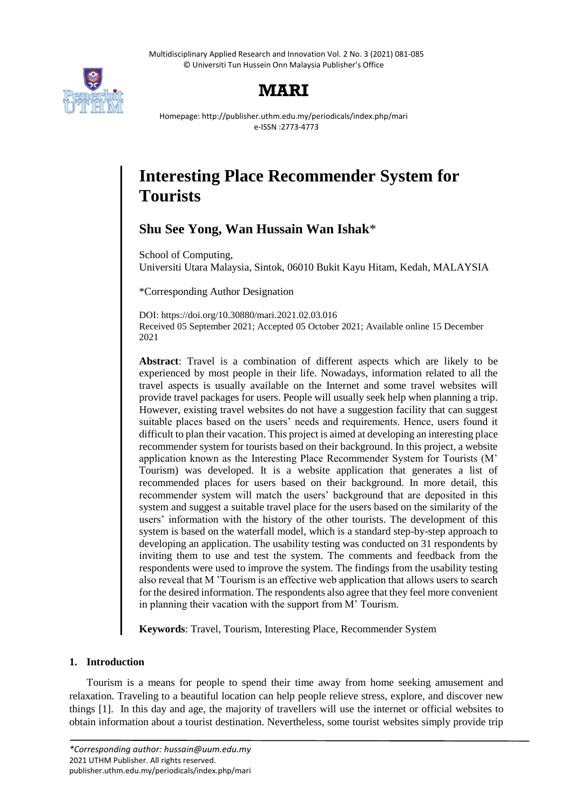Multidisciplinary Applied Research and Innovation Vol. 2 No. 3 (2021) 081-085 © Universiti Tun Hussein Onn Malaysia Publisher's Office



## **MARI**

Homepage: http://publisher.uthm.edu.my/periodicals/index.php/mari e-ISSN :2773-4773

# **Interesting Place Recommender System for Tourists**

### **Shu See Yong, Wan Hussain Wan Ishak**\*

School of Computing, Universiti Utara Malaysia, Sintok, 06010 Bukit Kayu Hitam, Kedah, MALAYSIA

\*Corresponding Author Designation

DOI: https://doi.org/10.30880/mari.2021.02.03.016 Received 05 September 2021; Accepted 05 October 2021; Available online 15 December 2021

**Abstract**: Travel is a combination of different aspects which are likely to be experienced by most people in their life. Nowadays, information related to all the travel aspects is usually available on the Internet and some travel websites will provide travel packages for users. People will usually seek help when planning a trip. However, existing travel websites do not have a suggestion facility that can suggest suitable places based on the users' needs and requirements. Hence, users found it difficult to plan their vacation. This project is aimed at developing an interesting place recommender system for tourists based on their background. In this project, a website application known as the Interesting Place Recommender System for Tourists (M' Tourism) was developed. It is a website application that generates a list of recommended places for users based on their background. In more detail, this recommender system will match the users' background that are deposited in this system and suggest a suitable travel place for the users based on the similarity of the users' information with the history of the other tourists. The development of this system is based on the waterfall model, which is a standard step-by-step approach to developing an application. The usability testing was conducted on 31 respondents by inviting them to use and test the system. The comments and feedback from the respondents were used to improve the system. The findings from the usability testing also reveal that M 'Tourism is an effective web application that allows users to search for the desired information. The respondents also agree that they feel more convenient in planning their vacation with the support from M' Tourism.

**Keywords**: Travel, Tourism, Interesting Place, Recommender System

#### **1. Introduction**

Tourism is a means for people to spend their time away from home seeking amusement and relaxation. Traveling to a beautiful location can help people relieve stress, explore, and discover new things [1]. In this day and age, the majority of travellers will use the internet or official websites to obtain information about a tourist destination. Nevertheless, some tourist websites simply provide trip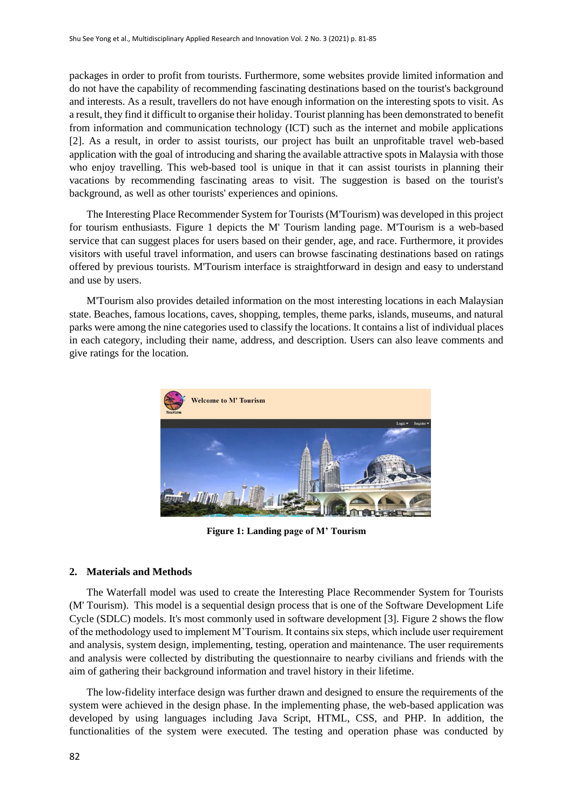packages in order to profit from tourists. Furthermore, some websites provide limited information and do not have the capability of recommending fascinating destinations based on the tourist's background and interests. As a result, travellers do not have enough information on the interesting spots to visit. As a result, they find it difficult to organise their holiday. Tourist planning has been demonstrated to benefit from information and communication technology (ICT) such as the internet and mobile applications [2]. As a result, in order to assist tourists, our project has built an unprofitable travel web-based application with the goal of introducing and sharing the available attractive spots in Malaysia with those who enjoy travelling. This web-based tool is unique in that it can assist tourists in planning their vacations by recommending fascinating areas to visit. The suggestion is based on the tourist's background, as well as other tourists' experiences and opinions.

The Interesting Place Recommender System for Tourists (M'Tourism) was developed in this project for tourism enthusiasts. Figure 1 depicts the M' Tourism landing page. M'Tourism is a web-based service that can suggest places for users based on their gender, age, and race. Furthermore, it provides visitors with useful travel information, and users can browse fascinating destinations based on ratings offered by previous tourists. M'Tourism interface is straightforward in design and easy to understand and use by users.

M'Tourism also provides detailed information on the most interesting locations in each Malaysian state. Beaches, famous locations, caves, shopping, temples, theme parks, islands, museums, and natural parks were among the nine categories used to classify the locations. It contains a list of individual places in each category, including their name, address, and description. Users can also leave comments and give ratings for the location.



**Figure 1: Landing page of M' Tourism**

#### **2. Materials and Methods**

The Waterfall model was used to create the Interesting Place Recommender System for Tourists (M' Tourism). This model is a sequential design process that is one of the Software Development Life Cycle (SDLC) models. It's most commonly used in software development [3]. Figure 2 shows the flow of the methodology used to implement M'Tourism. It contains six steps, which include user requirement and analysis, system design, implementing, testing, operation and maintenance. The user requirements and analysis were collected by distributing the questionnaire to nearby civilians and friends with the aim of gathering their background information and travel history in their lifetime.

The low-fidelity interface design was further drawn and designed to ensure the requirements of the system were achieved in the design phase. In the implementing phase, the web-based application was developed by using languages including Java Script, HTML, CSS, and PHP. In addition, the functionalities of the system were executed. The testing and operation phase was conducted by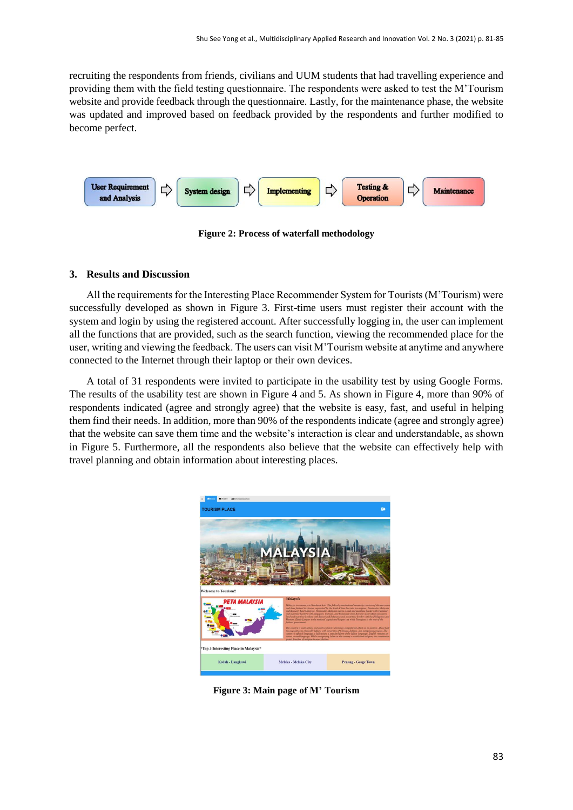recruiting the respondents from friends, civilians and UUM students that had travelling experience and providing them with the field testing questionnaire. The respondents were asked to test the M'Tourism website and provide feedback through the questionnaire. Lastly, for the maintenance phase, the website was updated and improved based on feedback provided by the respondents and further modified to become perfect.



**Figure 2: Process of waterfall methodology**

#### **3. Results and Discussion**

All the requirements for the Interesting Place Recommender System for Tourists (M'Tourism) were successfully developed as shown in Figure 3. First-time users must register their account with the system and login by using the registered account. After successfully logging in, the user can implement all the functions that are provided, such as the search function, viewing the recommended place for the user, writing and viewing the feedback. The users can visit M'Tourism website at anytime and anywhere connected to the Internet through their laptop or their own devices.

A total of 31 respondents were invited to participate in the usability test by using Google Forms. The results of the usability test are shown in Figure 4 and 5. As shown in Figure 4, more than 90% of respondents indicated (agree and strongly agree) that the website is easy, fast, and useful in helping them find their needs. In addition, more than 90% of the respondents indicate (agree and strongly agree) that the website can save them time and the website's interaction is clear and understandable, as shown in Figure 5. Furthermore, all the respondents also believe that the website can effectively help with travel planning and obtain information about interesting places.



**Figure 3: Main page of M' Tourism**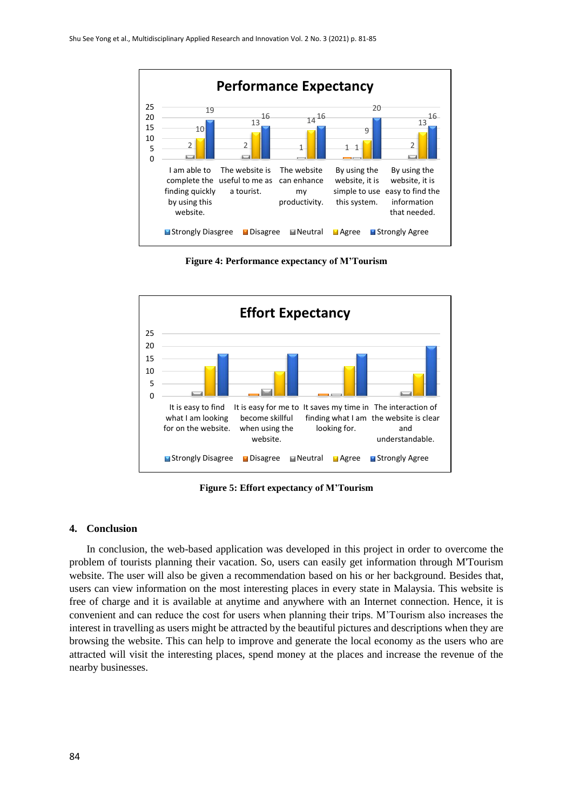

**Figure 4: Performance expectancy of M'Tourism**



**Figure 5: Effort expectancy of M'Tourism**

#### **4. Conclusion**

In conclusion, the web-based application was developed in this project in order to overcome the problem of tourists planning their vacation. So, users can easily get information through M'Tourism website. The user will also be given a recommendation based on his or her background. Besides that, users can view information on the most interesting places in every state in Malaysia. This website is free of charge and it is available at anytime and anywhere with an Internet connection. Hence, it is convenient and can reduce the cost for users when planning their trips. M'Tourism also increases the interest in travelling as users might be attracted by the beautiful pictures and descriptions when they are browsing the website. This can help to improve and generate the local economy as the users who are attracted will visit the interesting places, spend money at the places and increase the revenue of the nearby businesses.